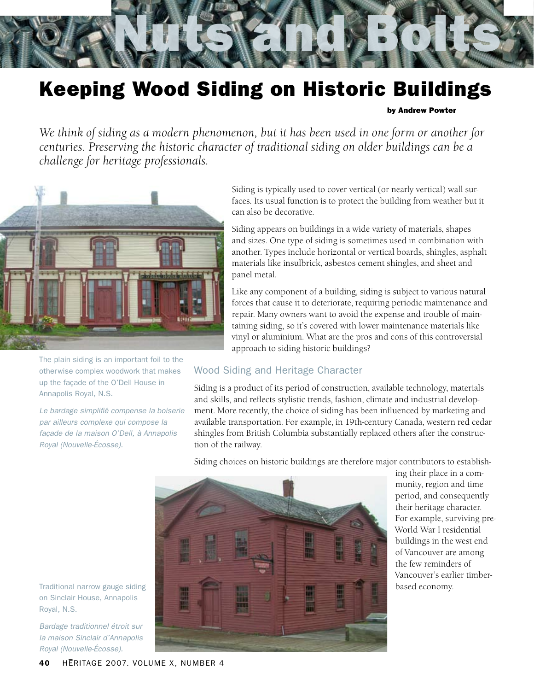

# Keeping Wood Siding on Historic Buildings

#### by Andrew Powter

*We think of siding as a modern phenomenon, but it has been used in one form or another for centuries. Preserving the historic character of traditional siding on older buildings can be a challenge for heritage professionals.*



The plain siding is an important foil to the otherwise complex woodwork that makes up the façade of the O'Dell House in Annapolis Royal, N.S.

*Le bardage simplifié compense la boiserie par ailleurs complexe qui compose la façade de la maison O'Dell, à Annapolis Royal (Nouvelle-Écosse).*

Siding is typically used to cover vertical (or nearly vertical) wall surfaces. Its usual function is to protect the building from weather but it can also be decorative.

Siding appears on buildings in a wide variety of materials, shapes and sizes. One type of siding is sometimes used in combination with another. Types include horizontal or vertical boards, shingles, asphalt materials like insulbrick, asbestos cement shingles, and sheet and panel metal.

Like any component of a building, siding is subject to various natural forces that cause it to deteriorate, requiring periodic maintenance and repair. Many owners want to avoid the expense and trouble of maintaining siding, so it's covered with lower maintenance materials like vinyl or aluminium. What are the pros and cons of this controversial approach to siding historic buildings?

#### Wood Siding and Heritage Character

Siding is a product of its period of construction, available technology, materials and skills, and reflects stylistic trends, fashion, climate and industrial development. More recently, the choice of siding has been influenced by marketing and available transportation. For example, in 19th-century Canada, western red cedar shingles from British Columbia substantially replaced others after the construction of the railway.

Siding choices on historic buildings are therefore major contributors to establish-



ing their place in a community, region and time period, and consequently their heritage character. For example, surviving pre-World War I residential buildings in the west end of Vancouver are among the few reminders of Vancouver's earlier timberbased economy.

Traditional narrow gauge siding on Sinclair House, Annapolis Royal, N.S.

*Bardage traditionnel étroit sur la maison Sinclair d'Annapolis Royal (Nouvelle-Écosse).*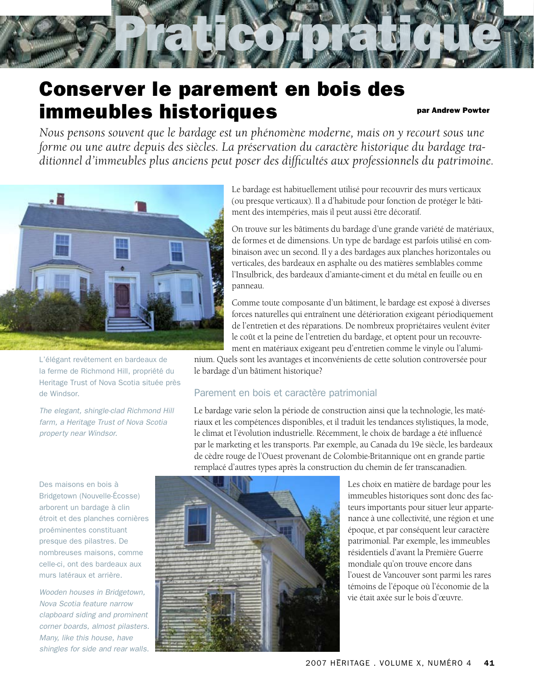# **Conserver le parement en bois des** immeubles historiques par Andrew Powter

*Nous pensons souvent que le bardage est un phénomène moderne, mais on y recourt sous une forme ou une autre depuis des siècles. La préservation du caractère historique du bardage traditionnel d'immeubles plus anciens peut poser des difficultés aux professionnels du patrimoine.*



L'élégant revêtement en bardeaux de la ferme de Richmond Hill, propriété du Heritage Trust of Nova Scotia située près de Windsor.

*The elegant, shingle-clad Richmond Hill farm, a Heritage Trust of Nova Scotia property near Windsor.*

Des maisons en bois à Bridgetown (Nouvelle-Écosse) arborent un bardage à clin étroit et des planches cornières proéminentes constituant presque des pilastres. De nombreuses maisons, comme celle-ci, ont des bardeaux aux murs latéraux et arrière.

*Wooden houses in Bridgetown, Nova Scotia feature narrow clapboard siding and prominent corner boards, almost pilasters. Many, like this house, have shingles for side and rear walls.* Le bardage est habituellement utilisé pour recouvrir des murs verticaux (ou presque verticaux). Il a d'habitude pour fonction de protéger le bâtiment des intempéries, mais il peut aussi être décoratif.

On trouve sur les bâtiments du bardage d'une grande variété de matériaux, de formes et de dimensions. Un type de bardage est parfois utilisé en combinaison avec un second. Il y a des bardages aux planches horizontales ou verticales, des bardeaux en asphalte ou des matières semblables comme l'Insulbrick, des bardeaux d'amiante-ciment et du métal en feuille ou en panneau.

Comme toute composante d'un bâtiment, le bardage est exposé à diverses forces naturelles qui entraînent une détérioration exigeant périodiquement de l'entretien et des réparations. De nombreux propriétaires veulent éviter le coût et la peine de l'entretien du bardage, et optent pour un recouvrement en matériaux exigeant peu d'entretien comme le vinyle ou l'alumi-

nium. Quels sont les avantages et inconvénients de cette solution controversée pour le bardage d'un bâtiment historique?

#### Parement en bois et caractère patrimonial

Le bardage varie selon la période de construction ainsi que la technologie, les matériaux et les compétences disponibles, et il traduit les tendances stylistiques, la mode, le climat et l'évolution industrielle. Récemment, le choix de bardage a été influencé par le marketing et les transports. Par exemple, au Canada du 19e siècle, les bardeaux de cèdre rouge de l'Ouest provenant de Colombie-Britannique ont en grande partie remplacé d'autres types après la construction du chemin de fer transcanadien.



Les choix en matière de bardage pour les immeubles historiques sont donc des facteurs importants pour situer leur appartenance à une collectivité, une région et une époque, et par conséquent leur caractère patrimonial. Par exemple, les immeubles résidentiels d'avant la Première Guerre mondiale qu'on trouve encore dans l'ouest de Vancouver sont parmi les rares témoins de l'époque où l'économie de la vie était axée sur le bois d'œuvre.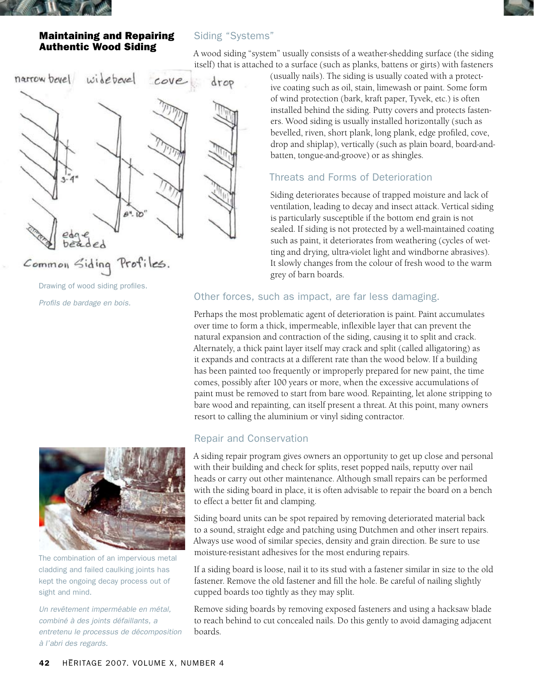

### Maintaining and Repairing Authentic Wood Siding



A wood siding "system" usually consists of a weather-shedding surface (the siding itself) that is attached to a surface (such as planks, battens or girts) with fasteners



Common Siding Profiles.

Drawing of wood siding profiles. *Profils de bardage en bois.*



The combination of an impervious metal cladding and failed caulking joints has kept the ongoing decay process out of sight and mind.

*Un revêtement imperméable en métal, combiné à des joints défaillants, a entretenu le processus de décomposition à l'abri des regards.*

(usually nails). The siding is usually coated with a protective coating such as oil, stain, limewash or paint. Some form of wind protection (bark, kraft paper, Tyvek, etc.) is often installed behind the siding. Putty covers and protects fasteners. Wood siding is usually installed horizontally (such as bevelled, riven, short plank, long plank, edge profiled, cove, drop and shiplap), vertically (such as plain board, board-andbatten, tongue-and-groove) or as shingles.

# Threats and Forms of Deterioration

Siding deteriorates because of trapped moisture and lack of ventilation, leading to decay and insect attack. Vertical siding is particularly susceptible if the bottom end grain is not sealed. If siding is not protected by a well-maintained coating such as paint, it deteriorates from weathering (cycles of wetting and drying, ultra-violet light and windborne abrasives). It slowly changes from the colour of fresh wood to the warm grey of barn boards.

# Other forces, such as impact, are far less damaging.

Perhaps the most problematic agent of deterioration is paint. Paint accumulates over time to form a thick, impermeable, inflexible layer that can prevent the natural expansion and contraction of the siding, causing it to split and crack. Alternately, a thick paint layer itself may crack and split (called alligatoring) as it expands and contracts at a different rate than the wood below. If a building has been painted too frequently or improperly prepared for new paint, the time comes, possibly after 100 years or more, when the excessive accumulations of paint must be removed to start from bare wood. Repainting, let alone stripping to bare wood and repainting, can itself present a threat. At this point, many owners resort to calling the aluminium or vinyl siding contractor.

# Repair and Conservation

A siding repair program gives owners an opportunity to get up close and personal with their building and check for splits, reset popped nails, reputty over nail heads or carry out other maintenance. Although small repairs can be performed with the siding board in place, it is often advisable to repair the board on a bench to effect a better fit and clamping.

Siding board units can be spot repaired by removing deteriorated material back to a sound, straight edge and patching using Dutchmen and other insert repairs. Always use wood of similar species, density and grain direction. Be sure to use moisture-resistant adhesives for the most enduring repairs.

If a siding board is loose, nail it to its stud with a fastener similar in size to the old fastener. Remove the old fastener and fill the hole. Be careful of nailing slightly cupped boards too tightly as they may split.

Remove siding boards by removing exposed fasteners and using a hacksaw blade to reach behind to cut concealed nails. Do this gently to avoid damaging adjacent boards.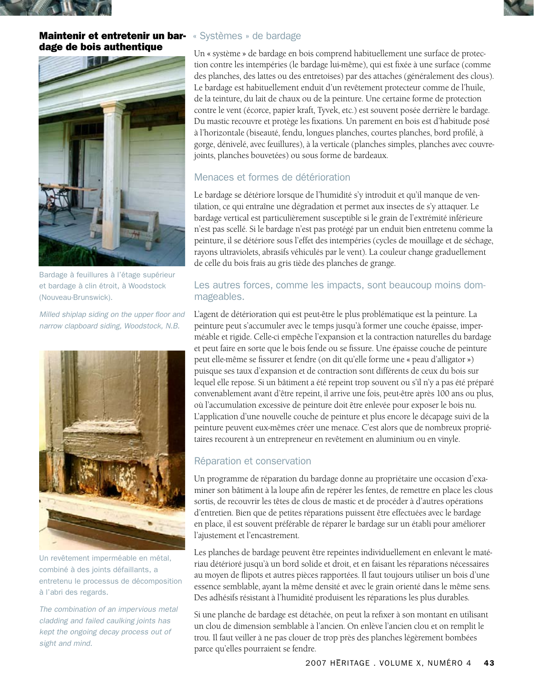

#### Maintenir et entretenir un bar- « Systèmes » de bardage dage de bois authentique



Bardage à feuillures à l'étage supérieur et bardage à clin étroit, à Woodstock (Nouveau-Brunswick).

*Milled shiplap siding on the upper floor and narrow clapboard siding, Woodstock, N.B.*



Un revêtement imperméable en métal, combiné à des joints défaillants, a entretenu le processus de décomposition à l'abri des regards.

*The combination of an impervious metal cladding and failed caulking joints has kept the ongoing decay process out of sight and mind.*

Un « système » de bardage en bois comprend habituellement une surface de protection contre les intempéries (le bardage lui-même), qui est fixée à une surface (comme des planches, des lattes ou des entretoises) par des attaches (généralement des clous). Le bardage est habituellement enduit d'un revêtement protecteur comme de l'huile, de la teinture, du lait de chaux ou de la peinture. Une certaine forme de protection contre le vent (écorce, papier kraft, Tyvek, etc.) est souvent posée derrière le bardage. Du mastic recouvre et protège les fixations. Un parement en bois est d'habitude posé à l'horizontale (biseauté, fendu, longues planches, courtes planches, bord profilé, à gorge, dénivelé, avec feuillures), à la verticale (planches simples, planches avec couvrejoints, planches bouvetées) ou sous forme de bardeaux.

### Menaces et formes de détérioration

Le bardage se détériore lorsque de l'humidité s'y introduit et qu'il manque de ventilation, ce qui entraîne une dégradation et permet aux insectes de s'y attaquer. Le bardage vertical est particulièrement susceptible si le grain de l'extrémité inférieure n'est pas scellé. Si le bardage n'est pas protégé par un enduit bien entretenu comme la peinture, il se détériore sous l'effet des intempéries (cycles de mouillage et de séchage, rayons ultraviolets, abrasifs véhiculés par le vent). La couleur change graduellement de celle du bois frais au gris tiède des planches de grange.

#### Les autres forces, comme les impacts, sont beaucoup moins dommageables.

L'agent de détérioration qui est peut-être le plus problématique est la peinture. La peinture peut s'accumuler avec le temps jusqu'à former une couche épaisse, imperméable et rigide. Celle-ci empêche l'expansion et la contraction naturelles du bardage et peut faire en sorte que le bois fende ou se fissure. Une épaisse couche de peinture peut elle-même se fissurer et fendre (on dit qu'elle forme une « peau d'alligator ») puisque ses taux d'expansion et de contraction sont différents de ceux du bois sur lequel elle repose. Si un bâtiment a été repeint trop souvent ou s'il n'y a pas été préparé convenablement avant d'être repeint, il arrive une fois, peut-être après 100 ans ou plus, où l'accumulation excessive de peinture doit être enlevée pour exposer le bois nu. L'application d'une nouvelle couche de peinture et plus encore le décapage suivi de la peinture peuvent eux-mêmes créer une menace. C'est alors que de nombreux propriétaires recourent à un entrepreneur en revêtement en aluminium ou en vinyle.

#### Réparation et conservation

Un programme de réparation du bardage donne au propriétaire une occasion d'examiner son bâtiment à la loupe afin de repérer les fentes, de remettre en place les clous sortis, de recouvrir les têtes de clous de mastic et de procéder à d'autres opérations d'entretien. Bien que de petites réparations puissent être effectuées avec le bardage en place, il est souvent préférable de réparer le bardage sur un établi pour améliorer l'ajustement et l'encastrement.

Les planches de bardage peuvent être repeintes individuellement en enlevant le matériau détérioré jusqu'à un bord solide et droit, et en faisant les réparations nécessaires au moyen de flipots et autres pièces rapportées. Il faut toujours utiliser un bois d'une essence semblable, ayant la même densité et avec le grain orienté dans le même sens. Des adhésifs résistant à l'humidité produisent les réparations les plus durables.

Si une planche de bardage est détachée, on peut la refixer à son montant en utilisant un clou de dimension semblable à l'ancien. On enlève l'ancien clou et on remplit le trou. Il faut veiller à ne pas clouer de trop près des planches légèrement bombées parce qu'elles pourraient se fendre.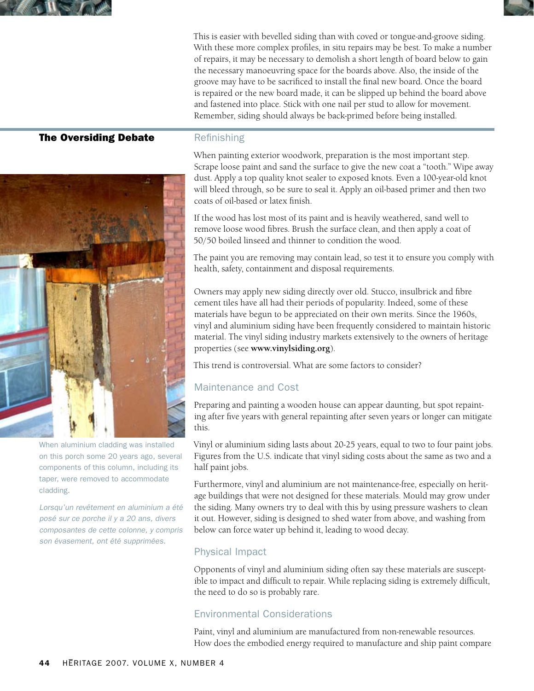

This is easier with bevelled siding than with coved or tongue-and-groove siding. With these more complex profiles, in situ repairs may be best. To make a number of repairs, it may be necessary to demolish a short length of board below to gain the necessary manoeuvring space for the boards above. Also, the inside of the groove may have to be sacrificed to install the final new board. Once the board is repaired or the new board made, it can be slipped up behind the board above and fastened into place. Stick with one nail per stud to allow for movement. Remember, siding should always be back-primed before being installed.

#### The Oversiding Debate



When aluminium cladding was installed on this porch some 20 years ago, several components of this column, including its taper, were removed to accommodate cladding.

Lorsqu'un revêtement en aluminium a été posé sur ce porche il y a 20 ans, divers composantes de cette colonne, y compris son évasement, ont été supprimées.

#### Refinishing

When painting exterior woodwork, preparation is the most important step. Scrape loose paint and sand the surface to give the new coat a "tooth." Wipe away dust. Apply a top quality knot sealer to exposed knots. Even a 100-year-old knot will bleed through, so be sure to seal it. Apply an oil-based primer and then two coats of oil-based or latex finish.

If the wood has lost most of its paint and is heavily weathered, sand well to remove loose wood fibres. Brush the surface clean, and then apply a coat of 50/50 boiled linseed and thinner to condition the wood.

The paint you are removing may contain lead, so test it to ensure you comply with health, safety, containment and disposal requirements.

Owners may apply new siding directly over old. Stucco, insulbrick and fibre cement tiles have all had their periods of popularity. Indeed, some of these materials have begun to be appreciated on their own merits. Since the 1960s, vinyl and aluminium siding have been frequently considered to maintain historic material. The vinyl siding industry markets extensively to the owners of heritage properties (see **www.vinylsiding.org**).

This trend is controversial. What are some factors to consider?

# Maintenance and Cost

Preparing and painting a wooden house can appear daunting, but spot repainting after five years with general repainting after seven years or longer can mitigate this.

Vinyl or aluminium siding lasts about 20-25 years, equal to two to four paint jobs. Figures from the U.S. indicate that vinyl siding costs about the same as two and a half paint jobs.

Furthermore, vinyl and aluminium are not maintenance-free, especially on heritage buildings that were not designed for these materials. Mould may grow under the siding. Many owners try to deal with this by using pressure washers to clean it out. However, siding is designed to shed water from above, and washing from below can force water up behind it, leading to wood decay.

# Physical Impact

Opponents of vinyl and aluminium siding often say these materials are susceptible to impact and difficult to repair. While replacing siding is extremely difficult, the need to do so is probably rare.

# Environmental Considerations

Paint, vinyl and aluminium are manufactured from non-renewable resources. How does the embodied energy required to manufacture and ship paint compare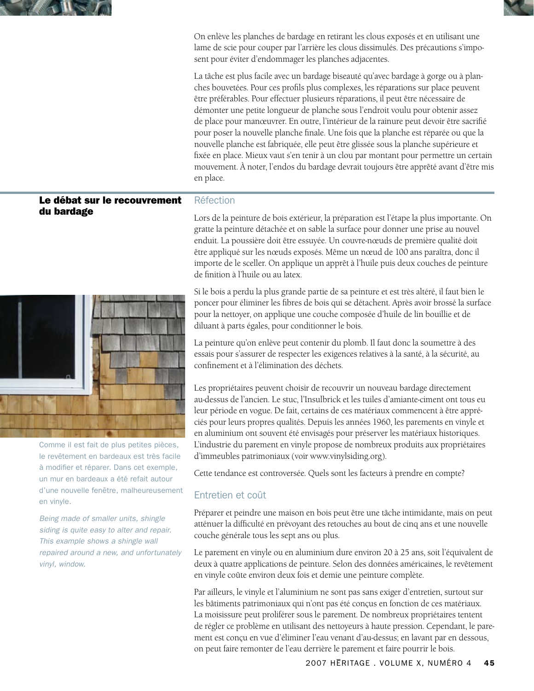



On enlève les planches de bardage en retirant les clous exposés et en utilisant une lame de scie pour couper par l'arrière les clous dissimulés. Des précautions s'imposent pour éviter d'endommager les planches adjacentes.

La tâche est plus facile avec un bardage biseauté qu'avec bardage à gorge ou à planches bouvetées. Pour ces profils plus complexes, les réparations sur place peuvent être préférables. Pour effectuer plusieurs réparations, il peut être nécessaire de démonter une petite longueur de planche sous l'endroit voulu pour obtenir assez de place pour manœuvrer. En outre, l'intérieur de la rainure peut devoir être sacrifié pour poser la nouvelle planche finale. Une fois que la planche est réparée ou que la nouvelle planche est fabriquée, elle peut être glissée sous la planche supérieure et fixée en place. Mieux vaut s'en tenir à un clou par montant pour permettre un certain mouvement. À noter, l'endos du bardage devrait toujours être apprêté avant d'être mis en place.

# Le débat sur le recouvrement du bardage



Comme il est fait de plus petites pièces, le revêtement en bardeaux est très facile à modifier et réparer. Dans cet exemple, un mur en bardeaux a été refait autour d'une nouvelle fenêtre, malheureusement en vinyle.

*Being made of smaller units, shingle siding is quite easy to alter and repair. This example shows a shingle wall repaired around a new, and unfortunately vinyl, window.*

#### Réfection

Lors de la peinture de bois extérieur, la préparation est l'étape la plus importante. On gratte la peinture détachée et on sable la surface pour donner une prise au nouvel enduit. La poussière doit être essuyée. Un couvre-nœuds de première qualité doit être appliqué sur les nœuds exposés. Même un nœud de 100 ans paraîtra, donc il importe de le sceller. On applique un apprêt à l'huile puis deux couches de peinture de finition à l'huile ou au latex.

Si le bois a perdu la plus grande partie de sa peinture et est très altéré, il faut bien le poncer pour éliminer les fibres de bois qui se détachent. Après avoir brossé la surface pour la nettoyer, on applique une couche composée d'huile de lin bouillie et de diluant à parts égales, pour conditionner le bois.

La peinture qu'on enlève peut contenir du plomb. Il faut donc la soumettre à des essais pour s'assurer de respecter les exigences relatives à la santé, à la sécurité, au confinement et à l'élimination des déchets.

Les propriétaires peuvent choisir de recouvrir un nouveau bardage directement au-dessus de l'ancien. Le stuc, l'Insulbrick et les tuiles d'amiante-ciment ont tous eu leur période en vogue. De fait, certains de ces matériaux commencent à être appréciés pour leurs propres qualités. Depuis les années 1960, les parements en vinyle et en aluminium ont souvent été envisagés pour préserver les matériaux historiques. L'industrie du parement en vinyle propose de nombreux produits aux propriétaires d'immeubles patrimoniaux (voir www.vinylsiding.org).

Cette tendance est controversée. Quels sont les facteurs à prendre en compte?

# Entretien et coût

Préparer et peindre une maison en bois peut être une tâche intimidante, mais on peut atténuer la difficulté en prévoyant des retouches au bout de cinq ans et une nouvelle couche générale tous les sept ans ou plus.

Le parement en vinyle ou en aluminium dure environ 20 à 25 ans, soit l'équivalent de deux à quatre applications de peinture. Selon des données américaines, le revêtement en vinyle coûte environ deux fois et demie une peinture complète.

Par ailleurs, le vinyle et l'aluminium ne sont pas sans exiger d'entretien, surtout sur les bâtiments patrimoniaux qui n'ont pas été conçus en fonction de ces matériaux. La moisissure peut proliférer sous le parement. De nombreux propriétaires tentent de régler ce problème en utilisant des nettoyeurs à haute pression. Cependant, le parement est conçu en vue d'éliminer l'eau venant d'au-dessus; en lavant par en dessous, on peut faire remonter de l'eau derrière le parement et faire pourrir le bois.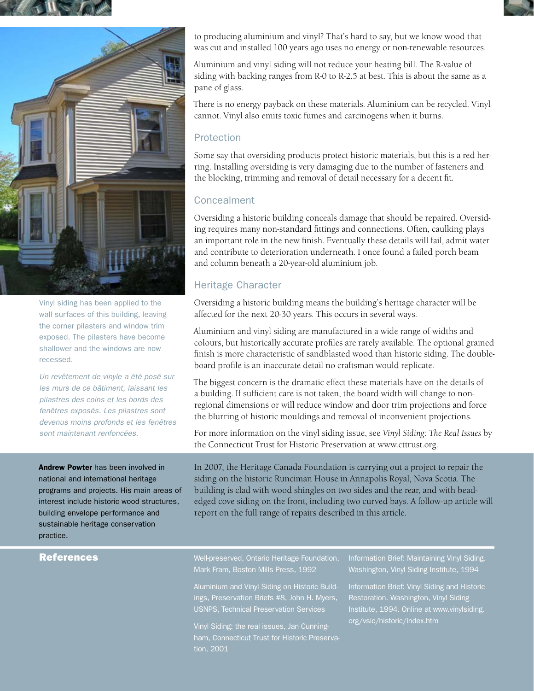



Vinyl siding has been applied to the wall surfaces of this building, leaving the corner pilasters and window trim exposed. The pilasters have become shallower and the windows are now recessed.

*Un revêtement de vinyle a été posé sur les murs de ce bâtiment, laissant les pilastres des coins et les bords des fenêtres exposés. Les pilastres sont devenus moins profonds et les fenêtres sont maintenant renfoncées.*

to producing aluminium and vinyl? That's hard to say, but we know wood that was cut and installed 100 years ago uses no energy or non-renewable resources.

Aluminium and vinyl siding will not reduce your heating bill. The R-value of siding with backing ranges from R-0 to R-2.5 at best. This is about the same as a pane of glass.

There is no energy payback on these materials. Aluminium can be recycled. Vinyl cannot. Vinyl also emits toxic fumes and carcinogens when it burns.

#### Protection

Some say that oversiding products protect historic materials, but this is a red herring. Installing oversiding is very damaging due to the number of fasteners and the blocking, trimming and removal of detail necessary for a decent fit.

### Concealment

Oversiding a historic building conceals damage that should be repaired. Oversiding requires many non-standard fittings and connections. Often, caulking plays an important role in the new finish. Eventually these details will fail, admit water and contribute to deterioration underneath. I once found a failed porch beam and column beneath a 20-year-old aluminium job.

# Heritage Character

Oversiding a historic building means the building's heritage character will be affected for the next 20-30 years. This occurs in several ways.

Aluminium and vinyl siding are manufactured in a wide range of widths and colours, but historically accurate profiles are rarely available. The optional grained finish is more characteristic of sandblasted wood than historic siding. The doubleboard profile is an inaccurate detail no craftsman would replicate.

The biggest concern is the dramatic effect these materials have on the details of a building. If sufficient care is not taken, the board width will change to nonregional dimensions or will reduce window and door trim projections and force the blurring of historic mouldings and removal of inconvenient projections.

For more information on the vinyl siding issue, see *Vinyl Siding: The Real Issues* by the Connecticut Trust for Historic Preservation at www.cttrust.org.

Andrew Powter has been involved in national and international heritage programs and projects. His main areas of interest include historic wood structures, building envelope performance and sustainable heritage conservation practice.

In 2007, the Heritage Canada Foundation is carrying out a project to repair the siding on the historic Runciman House in Annapolis Royal, Nova Scotia. The building is clad with wood shingles on two sides and the rear, and with beadedged cove siding on the front, including two curved bays. A follow-up article will report on the full range of repairs described in this article.

### References

Well-preserved, Ontario Heritage Foundation,

Aluminium and Vinyl Siding on Historic Buildings, Preservation Briefs #8, John H. Myers, USNPS, Technical Preservation Services

Vinyl Siding: the real issues, Jan Cunningtion, 2001

Information Brief: Maintaining Vinyl Siding. Washington, Vinyl Siding Institute, 1994

Information Brief: Vinyl Siding and Historic Restoration. Washington, Vinyl Siding Institute, 1994. Online at www.vinylsiding. org/vsic/historic/index.htm